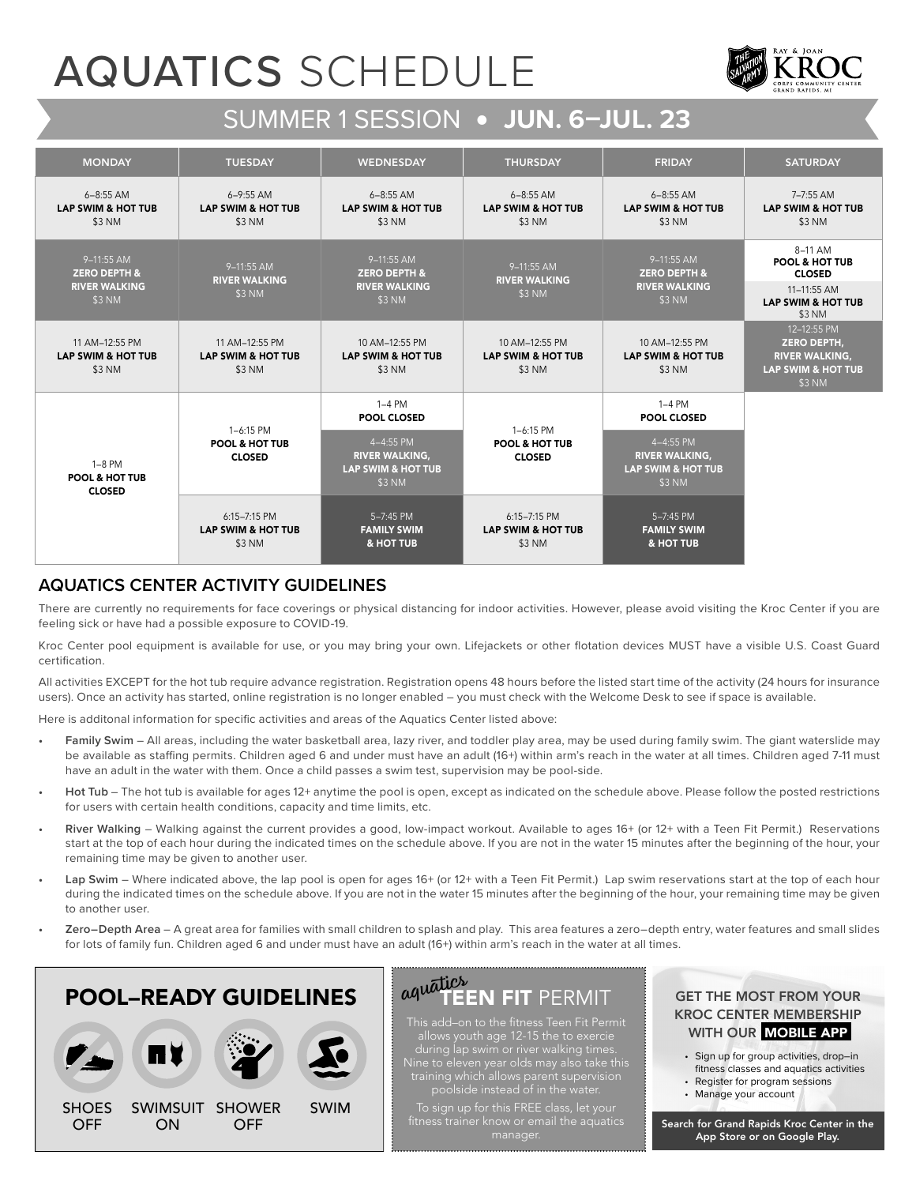## AQUATICS SCHEDULE



### SUMMER 1 SESSION • **JUN. 6–JUL. 23**

| <b>MONDAY</b>                                             | <b>TUESDAY</b>                                              | <b>WEDNESDAY</b>                                                              | <b>THURSDAY</b>                                             | <b>FRIDAY</b>                                                                 | <b>SATURDAY</b>                                                                                       |  |
|-----------------------------------------------------------|-------------------------------------------------------------|-------------------------------------------------------------------------------|-------------------------------------------------------------|-------------------------------------------------------------------------------|-------------------------------------------------------------------------------------------------------|--|
| $6 - 8:55$ AM<br><b>LAP SWIM &amp; HOT TUB</b><br>\$3 NM  | $6 - 9:55$ AM<br><b>LAP SWIM &amp; HOT TUB</b><br>\$3 NM    | $6 - 8:55$ AM<br><b>LAP SWIM &amp; HOT TUB</b><br>\$3 NM                      | $6 - 8:55$ AM<br><b>LAP SWIM &amp; HOT TUB</b><br>\$3 NM    | $6 - 8:55$ AM<br><b>LAP SWIM &amp; HOT TUB</b><br>\$3 NM                      | 7-7:55 AM<br><b>LAP SWIM &amp; HOT TUB</b><br>\$3 NM                                                  |  |
| 9-11:55 AM<br><b>ZERO DEPTH &amp;</b>                     | 9-11:55 AM<br><b>RIVER WALKING</b>                          | 9-11:55 AM<br><b>ZERO DEPTH &amp;</b>                                         | 9-11:55 AM<br><b>RIVER WALKING</b>                          | 9-11:55 AM<br><b>ZERO DEPTH &amp;</b>                                         | 8-11 AM<br><b>POOL &amp; HOT TUB</b><br><b>CLOSED</b>                                                 |  |
| <b>RIVER WALKING</b><br>\$3 NM                            | \$3 NM                                                      | <b>RIVER WALKING</b><br>\$3 NM                                                | \$3 NM                                                      | <b>RIVER WALKING</b><br>\$3 NM                                                | 11-11:55 AM<br><b>LAP SWIM &amp; HOT TUB</b><br>\$3 NM                                                |  |
| 11 AM-12:55 PM<br><b>LAP SWIM &amp; HOT TUB</b><br>\$3 NM | 11 AM-12:55 PM<br><b>LAP SWIM &amp; HOT TUB</b><br>\$3 NM   | 10 AM-12:55 PM<br><b>LAP SWIM &amp; HOT TUB</b><br>\$3 NM                     | 10 AM-12:55 PM<br><b>LAP SWIM &amp; HOT TUB</b><br>\$3 NM   | 10 AM-12:55 PM<br><b>LAP SWIM &amp; HOT TUB</b><br>\$3 NM                     | 12-12:55 PM<br><b>ZERO DEPTH,</b><br><b>RIVER WALKING,</b><br><b>LAP SWIM &amp; HOT TUB</b><br>\$3 NM |  |
| $1-8$ PM<br><b>POOL &amp; HOT TUB</b><br><b>CLOSED</b>    |                                                             | $1-4$ PM<br><b>POOL CLOSED</b>                                                |                                                             | $1-4$ PM<br>POOL CLOSED                                                       |                                                                                                       |  |
|                                                           | 1-6:15 PM<br><b>POOL &amp; HOT TUB</b><br><b>CLOSED</b>     | 4-4:55 PM<br><b>RIVER WALKING,</b><br><b>LAP SWIM &amp; HOT TUB</b><br>\$3 NM | 1-6:15 PM<br><b>POOL &amp; HOT TUB</b><br><b>CLOSED</b>     | 4-4:55 PM<br><b>RIVER WALKING,</b><br><b>LAP SWIM &amp; HOT TUB</b><br>\$3 NM |                                                                                                       |  |
|                                                           | $6:15 - 7:15$ PM<br><b>LAP SWIM &amp; HOT TUB</b><br>\$3 NM | 5-7:45 PM<br><b>FAMILY SWIM</b><br>& HOT TUB                                  | $6:15 - 7:15$ PM<br><b>LAP SWIM &amp; HOT TUB</b><br>\$3 NM | 5-7:45 PM<br><b>FAMILY SWIM</b><br>& HOT TUB                                  |                                                                                                       |  |

#### **AQUATICS CENTER ACTIVITY GUIDELINES**

There are currently no requirements for face coverings or physical distancing for indoor activities. However, please avoid visiting the Kroc Center if you are feeling sick or have had a possible exposure to COVID-19.

Kroc Center pool equipment is available for use, or you may bring your own. Lifejackets or other flotation devices MUST have a visible U.S. Coast Guard certification

All activities EXCEPT for the hot tub require advance registration. Registration opens 48 hours before the listed start time of the activity (24 hours for insurance users). Once an activity has started, online registration is no longer enabled – you must check with the Welcome Desk to see if space is available.

Here is additonal information for specific activities and areas of the Aquatics Center listed above:

- **Family Swim** All areas, including the water basketball area, lazy river, and toddler play area, may be used during family swim. The giant waterslide may be available as staffing permits. Children aged 6 and under must have an adult (16+) within arm's reach in the water at all times. Children aged 7-11 must have an adult in the water with them. Once a child passes a swim test, supervision may be pool-side.
- **Hot Tub**  The hot tub is available for ages 12+ anytime the pool is open, except as indicated on the schedule above. Please follow the posted restrictions for users with certain health conditions, capacity and time limits, etc.
- **River Walking** Walking against the current provides a good, low-impact workout. Available to ages 16+ (or 12+ with a Teen Fit Permit.) Reservations start at the top of each hour during the indicated times on the schedule above. If you are not in the water 15 minutes after the beginning of the hour, your remaining time may be given to another user.
- Lap Swim Where indicated above, the lap pool is open for ages 16+ (or 12+ with a Teen Fit Permit.) Lap swim reservations start at the top of each hour during the indicated times on the schedule above. If you are not in the water 15 minutes after the beginning of the hour, your remaining time may be given to another user.
- **Zero–Depth Area** A great area for families with small children to splash and play. This area features a zero–depth entry, water features and small slides for lots of family fun. Children aged 6 and under must have an adult (16+) within arm's reach in the water at all times.

# POOL–READY GUIDELINES



#### TEEN FIT PERMIT *aquatics*

This add–on to the fitness Teen Fit Permit Nine to eleven year olds may also take this poolside instead of in the water.

To sign up for this FREE class, let your

#### GET THE MOST FROM YOUR KROC CENTER MEMBERSHIP WITH OUR **MOBILE APP**

- Sign up for group activities, drop–in
- fitness classes and aquatics activities
- Register for program sessions
- Manage your account

Search for Grand Rapids Kroc Center in the App Store or on Google Play.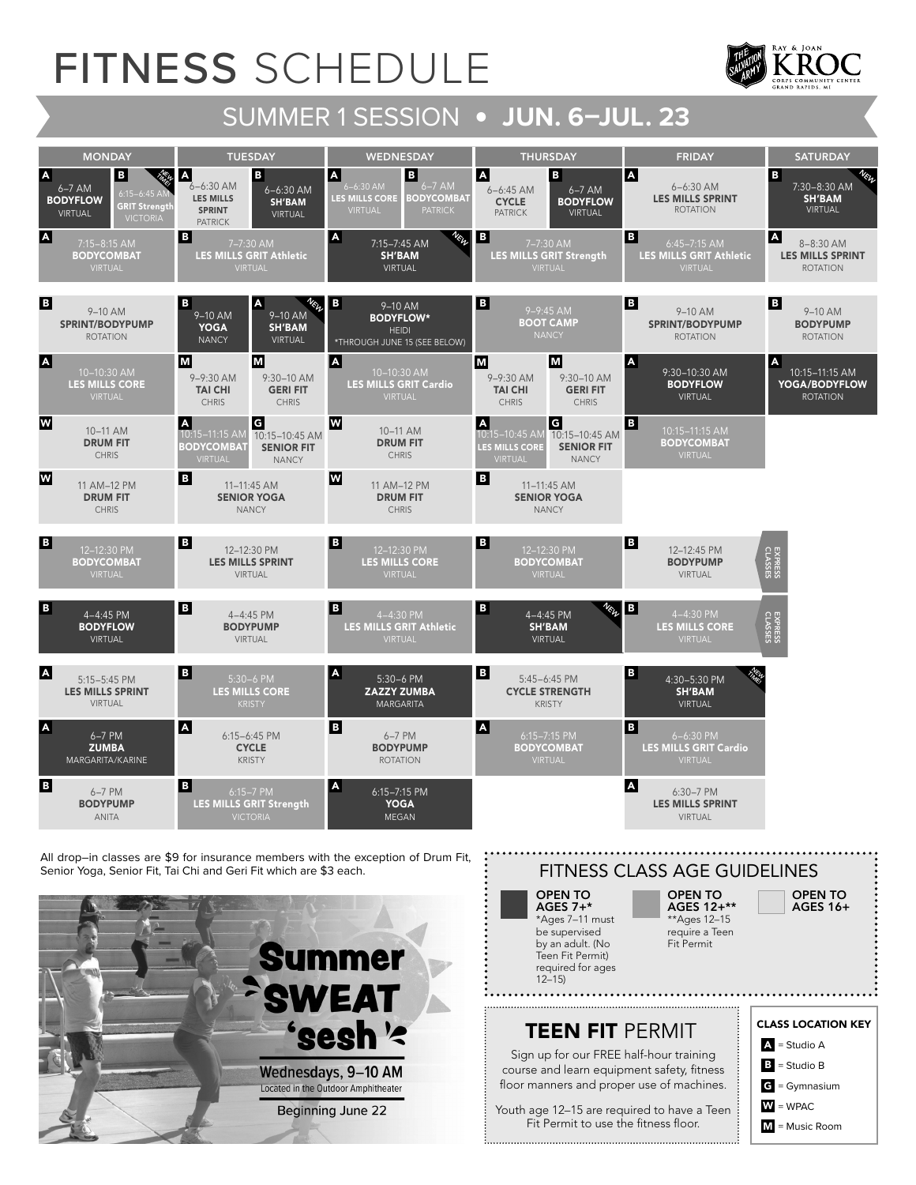# FITNESS SCHEDULE







### CLASS LOCATION KEY  $\mathbf{B}$  = Studio B  $\mathbf{A}$  = Studio A W = WPAC  $\epsilon$  = Gymnasium M = Music Room

OPEN TO AGES 16+